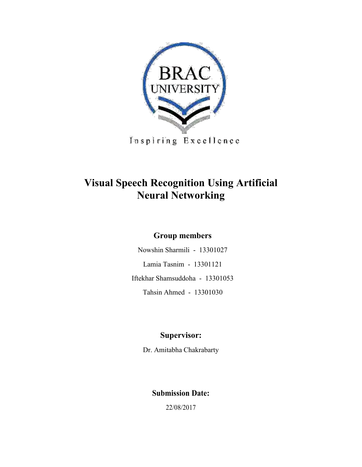

Inspiring Excellence

# **Visual Speech Recognition Using Artificial Neural Networking**

#### **Group members**

Nowshin Sharmili - 13301027 Lamia Tasnim - 13301121 Iftekhar Shamsuddoha - 13301053 Tahsin Ahmed - 13301030

#### **Supervisor:**

Dr. Amitabha Chakrabarty

### **Submission Date:**

22/08/2017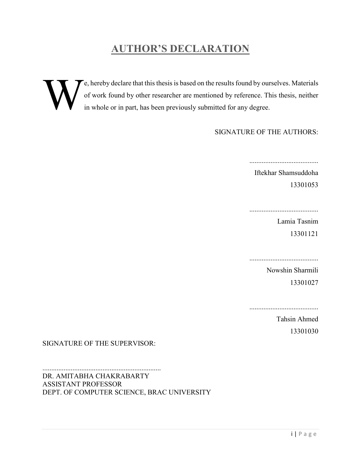# **AUTHOR'S DECLARATION**

e, hereby declare that this thesis is based on the results found by ourselves. Materials of work found by other researcher are mentioned by reference. This thesis, neither in whole or in part, has been previously submitted for any degree. W

#### SIGNATURE OF THE AUTHORS:

.......................................

Iftekhar Shamsuddoha 13301053

.......................................

Lamia Tasnim 13301121

Nowshin Sharmili 13301027

.......................................

Tahsin Ahmed 13301030

SIGNATURE OF THE SUPERVISOR:

................................................................... DR. AMITABHA CHAKRABARTY ASSISTANT PROFESSOR DEPT. OF COMPUTER SCIENCE, BRAC UNIVERSITY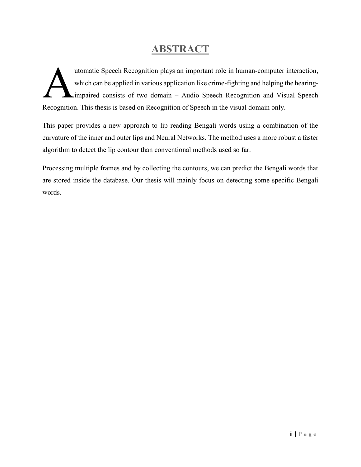## **ABSTRACT**

utomatic Speech Recognition plays an important role in human-computer interaction, which can be applied in various application like crime-fighting and helping the hearingimpaired consists of two domain – Audio Speech Recognition and Visual Speech Recognition. This thesis is based on Recognition of Speech in the visual domain only. A

This paper provides a new approach to lip reading Bengali words using a combination of the curvature of the inner and outer lips and Neural Networks. The method uses a more robust a faster algorithm to detect the lip contour than conventional methods used so far.

Processing multiple frames and by collecting the contours, we can predict the Bengali words that are stored inside the database. Our thesis will mainly focus on detecting some specific Bengali words.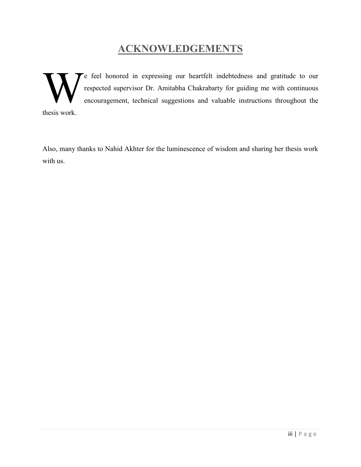# **ACKNOWLEDGEMENTS**

e feel honored in expressing our heartfelt indebtedness and gratitude to our respected supervisor Dr. Amitabha Chakrabarty for guiding me with continuous encouragement, technical suggestions and valuable instructions throughout the thesis work. W

Also, many thanks to Nahid Akhter for the luminescence of wisdom and sharing her thesis work with us.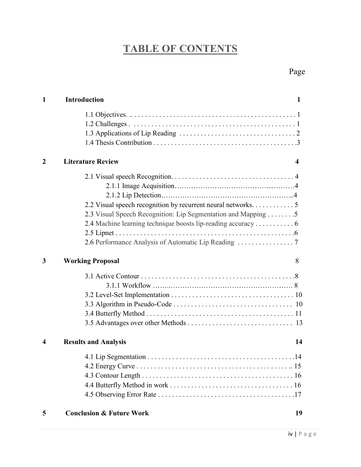# **TABLE OF CONTENTS**

| $\mathbf{1}$     | <b>Introduction</b><br>1                                                                                                                                                                                                                             |
|------------------|------------------------------------------------------------------------------------------------------------------------------------------------------------------------------------------------------------------------------------------------------|
|                  |                                                                                                                                                                                                                                                      |
| 2                | <b>Literature Review</b><br>4                                                                                                                                                                                                                        |
|                  | 2.2 Visual speech recognition by recurrent neural networks. 5<br>2.3 Visual Speech Recognition: Lip Segmentation and Mapping 5<br>2.4 Machine learning technique boosts lip-reading accuracy  6<br>2.6 Performance Analysis of Automatic Lip Reading |
| 3                | <b>Working Proposal</b><br>8                                                                                                                                                                                                                         |
|                  |                                                                                                                                                                                                                                                      |
| $\boldsymbol{4}$ | <b>Results and Analysis</b><br>14                                                                                                                                                                                                                    |
|                  |                                                                                                                                                                                                                                                      |
| 5                | <b>Conclusion &amp; Future Work</b><br>19                                                                                                                                                                                                            |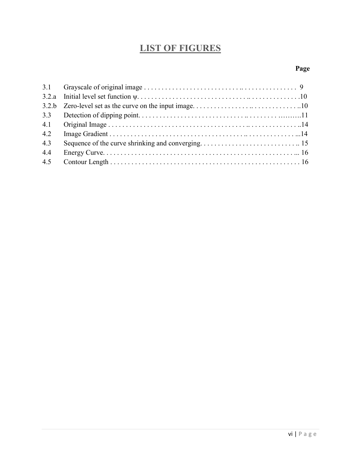# **LIST OF FIGURES**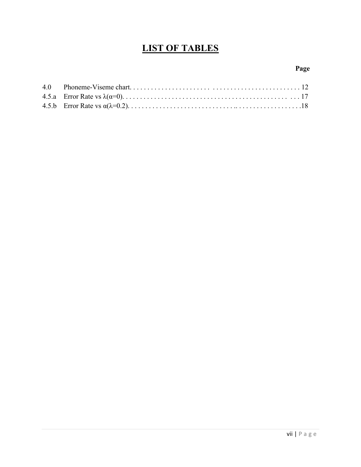### **LIST OF TABLES**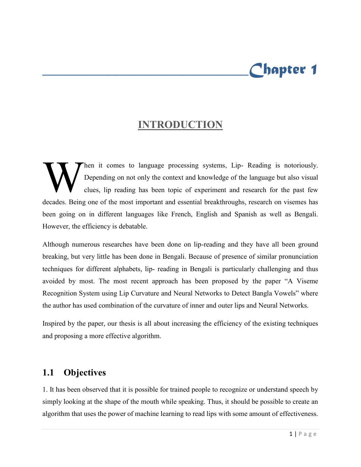# *\_\_\_\_\_\_\_\_\_\_\_\_\_\_\_\_\_\_\_\_\_\_\_\_\_Chapter 1*

## **INTRODUCTION**

hen it comes to language processing systems, Lip- Reading is notoriously. Depending on not only the context and knowledge of the language but also visual clues, lip reading has been topic of experiment and research for the past few decades. Being one of the most important and essential breakthroughs, research on visemes has been going on in different languages like French, English and Spanish as well as Bengali. However, the efficiency is debatable. W<br>W

Although numerous researches have been done on lip-reading and they have all been ground breaking, but very little has been done in Bengali. Because of presence of similar pronunciation techniques for different alphabets, lip- reading in Bengali is particularly challenging and thus avoided by most. The most recent approach has been proposed by the paper "A Viseme Recognition System using Lip Curvature and Neural Networks to Detect Bangla Vowels" where the author has used combination of the curvature of inner and outer lips and Neural Networks.

Inspired by the paper, our thesis is all about increasing the efficiency of the existing techniques and proposing a more effective algorithm.

### **1.1 Objectives**

1. It has been observed that it is possible for trained people to recognize or understand speech by simply looking at the shape of the mouth while speaking. Thus, it should be possible to create an algorithm that uses the power of machine learning to read lips with some amount of effectiveness.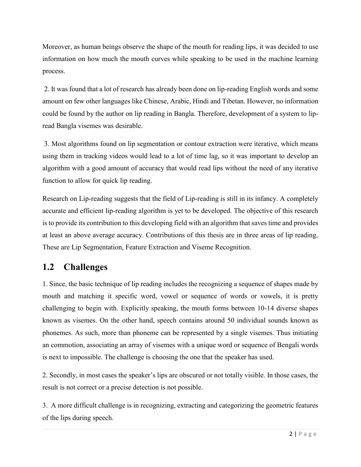Moreover, as human beings observe the shape of the mouth for reading lips, it was decided to use information on how much the mouth curves while speaking to be used in the machine learning process.

2. It was found that a lot of research has already been done on lip-reading English words and some amount on few other languages like Chinese, Arabic, Hindi and Tibetan. However, no information could be found by the author on lip reading in Bangla. Therefore, development of a system to lipread Bangla visemes was desirable.

3. Most algorithms found on lip segmentation or contour extraction were iterative, which means using them in tracking videos would lead to a lot of time lag, so it was important to develop an algorithm with a good amount of accuracy that would read lips without the need of any iterative function to allow for quick lip reading.

Research on Lip-reading suggests that the field of Lip-reading is still in its infancy. A completely accurate and efficient lip-reading algorithm is yet to be developed. The objective of this research is to provide its contribution to this developing field with an algorithm that saves time and provides at least an above average accuracy. Contributions of this thesis are in three areas of lip reading. These are Lip Segmentation, Feature Extraction and Viseme Recognition.

### **1.2 Challenges**

1. Since, the basic technique of lip reading includes the recognizing a sequence of shapes made by mouth and matching it specific word, vowel or sequence of words or vowels, it is pretty challenging to begin with. Explicitly speaking, the mouth forms between 10-14 diverse shapes known as visemes. On the other hand, speech contains around 50 individual sounds known as phonemes. As such, more than phoneme can be represented by a single visemes. Thus initiating an commotion, associating an array of visemes with a unique word or sequence of Bengali words is next to impossible. The challenge is choosing the one that the speaker has used.

2. Secondly, in most cases the speaker's lips are obscured or not totally visible. In those cases, the result is not correct or a precise detection is not possible.

3. A more difficult challenge is in recognizing, extracting and categorizing the geometric features of the lips during speech.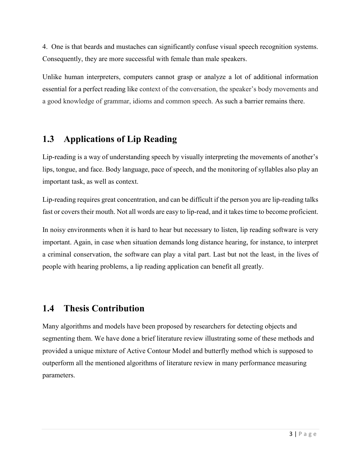4. One is that beards and mustaches can significantly confuse visual speech recognition systems. Consequently, they are more successful with female than male speakers.

Unlike human interpreters, computers cannot grasp or analyze a lot of additional information essential for a perfect reading like context of the conversation, the speaker's body movements and a good knowledge of grammar, idioms and common speech. As such a barrier remains there.

### **1.3 Applications of Lip Reading**

Lip-reading is a way of understanding speech by visually interpreting the movements of another's lips, tongue, and face. Body language, pace of speech, and the monitoring of syllables also play an important task, as well as context.

Lip-reading requires great concentration, and can be difficult if the person you are lip-reading talks fast or covers their mouth. Not all words are easy to lip-read, and it takes time to become proficient.

In noisy environments when it is hard to hear but necessary to listen, lip reading software is very important. Again, in case when situation demands long distance hearing, for instance, to interpret a criminal conservation, the software can play a vital part. Last but not the least, in the lives of people with hearing problems, a lip reading application can benefit all greatly.

#### **1.4 Thesis Contribution**

Many algorithms and models have been proposed by researchers for detecting objects and segmenting them. We have done a brief literature review illustrating some of these methods and provided a unique mixture of Active Contour Model and butterfly method which is supposed to outperform all the mentioned algorithms of literature review in many performance measuring parameters.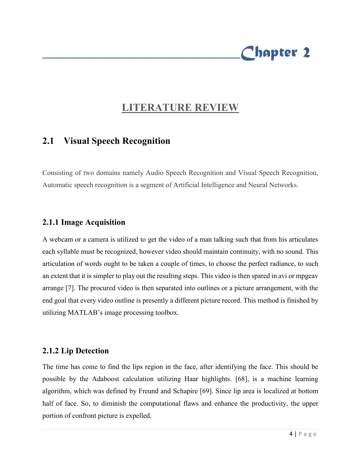# **LITERATURE REVIEW**

*\_\_\_\_\_\_\_\_\_\_\_\_\_\_\_\_\_\_\_\_\_\_\_\_Chapter 2* 

#### **2.1 Visual Speech Recognition**

Consisting of two domains namely Audio Speech Recognition and Visual Speech Recognition, Automatic speech recognition is a segment of Artificial Intelligence and Neural Networks.

#### **2.1.1 Image Acquisition**

A webcam or a camera is utilized to get the video of a man talking such that from his articulates each syllable must be recognized, however video should maintain continuity, with no sound. This articulation of words ought to be taken a couple of times, to choose the perfect radiance, to such an extent that it is simpler to play out the resulting steps. This video is then spared in avi or mpgeav arrange [7]. The procured video is then separated into outlines or a picture arrangement, with the end goal that every video outline is presently a different picture record. This method is finished by utilizing MATLAB's image processing toolbox.

#### **2.1.2 Lip Detection**

The time has come to find the lips region in the face, after identifying the face. This should be possible by the Adaboost calculation utilizing Haar highlights. [68], is a machine learning algorithm, which was defined by Freund and Schapire [69]. Since lip area is localized at bottom half of face. So, to diminish the computational flaws and enhance the productivity, the upper portion of confront picture is expelled.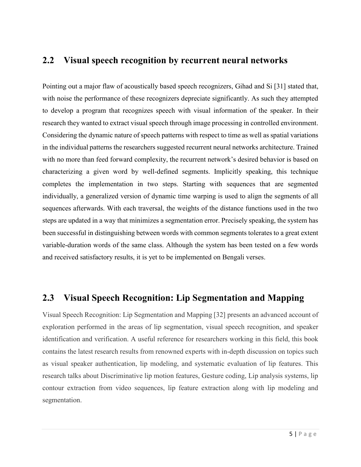#### **2.2 Visual speech recognition by recurrent neural networks**

Pointing out a major flaw of acoustically based speech recognizers, Gihad and Si [31] stated that, with noise the performance of these recognizers depreciate significantly. As such they attempted to develop a program that recognizes speech with visual information of the speaker. In their research they wanted to extract visual speech through image processing in controlled environment. Considering the dynamic nature of speech patterns with respect to time as well as spatial variations in the individual patterns the researchers suggested recurrent neural networks architecture. Trained with no more than feed forward complexity, the recurrent network's desired behavior is based on characterizing a given word by well-defined segments. Implicitly speaking, this technique completes the implementation in two steps. Starting with sequences that are segmented individually, a generalized version of dynamic time warping is used to align the segments of all sequences afterwards. With each traversal, the weights of the distance functions used in the two steps are updated in a way that minimizes a segmentation error. Precisely speaking, the system has been successful in distinguishing between words with common segments tolerates to a great extent variable-duration words of the same class. Although the system has been tested on a few words and received satisfactory results, it is yet to be implemented on Bengali verses.

#### **2.3 Visual Speech Recognition: Lip Segmentation and Mapping**

Visual Speech Recognition: Lip Segmentation and Mapping [32] presents an advanced account of exploration performed in the areas of lip segmentation, visual speech recognition, and speaker identification and verification. A useful reference for researchers working in this field, this book contains the latest research results from renowned experts with in-depth discussion on topics such as visual speaker authentication, lip modeling, and systematic evaluation of lip features. This research talks about Discriminative lip motion features, Gesture coding, Lip analysis systems, lip contour extraction from video sequences, lip feature extraction along with lip modeling and segmentation.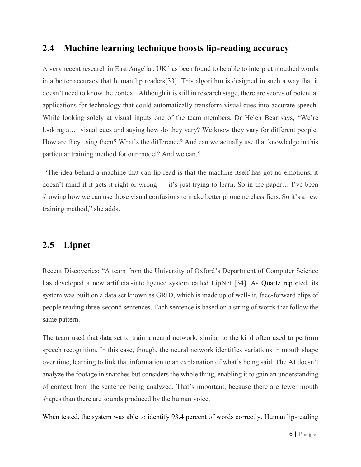#### **2.4 Machine learning technique boosts lip-reading accuracy**

A very recent research in East Angelia , UK has been found to be able to interpret mouthed words in a better accuracy that human lip readers[33]. This algorithm is designed in such a way that it doesn't need to know the context. Although it is still in research stage, there are scores of potential applications for technology that could automatically transform visual cues into accurate speech. While looking solely at visual inputs one of the team members, Dr Helen Bear says, "We're looking at... visual cues and saying how do they vary? We know they vary for different people. How are they using them? What's the difference? And can we actually use that knowledge in this particular training method for our model? And we can,"

"The idea behind a machine that can lip read is that the machine itself has got no emotions, it doesn't mind if it gets it right or wrong — it's just trying to learn. So in the paper… I've been showing how we can use those visual confusions to make better phoneme classifiers. So it's a new training method," she adds.

#### **2.5 Lipnet**

Recent Discoveries: "A team from the University of Oxford's Department of Computer Science has developed a new artificial-intelligence system called LipNet [34]. As [Quartz reported,](http://qz.com/829041/oxford-lip-reading-artificial-intelligence/) its system was built on a data set known as GRID, which is made up of well-lit, face-forward clips of people reading three-second sentences. Each sentence is based on a string of words that follow the same pattern.

The team used that data set to train a neural network, similar to the kind often used to perform speech recognition. In this case, though, the neural network identifies variations in mouth shape over time, learning to link that information to an explanation of what's being said. The AI doesn't analyze the footage in snatches but considers the whole thing, enabling it to gain an understanding of context from the sentence being analyzed. That's important, because there are fewer mouth shapes than there are sounds produced by the human voice.

When [tested,](http://www.oxml.co.uk/publications/2016-Assael_Shillingford_LipNet.pdf) the system was able to identify 93.4 percent of words correctly. Human lip-reading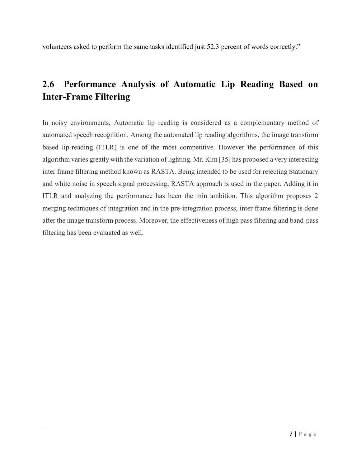volunteers asked to perform the same tasks identified just 52.3 percent of words correctly."

### **2.6 Performance Analysis of Automatic Lip Reading Based on Inter-Frame Filtering**

In noisy environments, Automatic lip reading is considered as a complementary method of automated speech recognition. Among the automated lip reading algorithms, the image transform based lip-reading (ITLR) is one of the most competitive. However the performance of this algorithm varies greatly with the variation of lighting. Mr. Kim [35] has proposed a very interesting inter frame filtering method known as RASTA. Being intended to be used for rejecting Stationary and white noise in speech signal processing, RASTA approach is used in the paper. Adding it in ITLR and analyzing the performance has been the min ambition. This algorithm proposes 2 merging techniques of integration and in the pre-integration process, inter frame filtering is done after the image transform process. Moreover, the effectiveness of high pass filtering and band-pass filtering has been evaluated as well.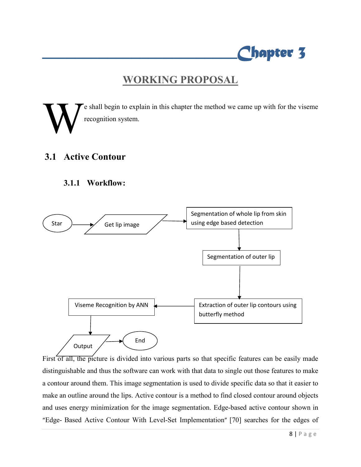

### **WORKING PROPOSAL**

e shall begin to explain in this chapter the method we came up with for the viseme recognition system. W

#### **3.1 Active Contour**

#### **3.1.1 Workflow:**



First of all, the picture is divided into various parts so that specific features can be easily made distinguishable and thus the software can work with that data to single out those features to make a contour around them. This image segmentation is used to divide specific data so that it easier to make an outline around the lips. Active contour is a method to find closed contour around objects and uses energy minimization for the image segmentation. Edge-based active contour shown in "Edge- Based Active Contour With Level-Set Implementation" [70] searches for the edges of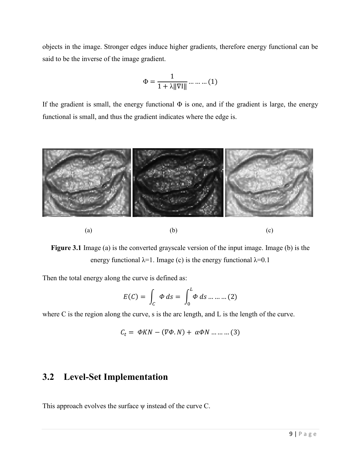objects in the image. Stronger edges induce higher gradients, therefore energy functional can be said to be the inverse of the image gradient.

$$
\Phi = \frac{1}{1 + \lambda \|\nabla I\|} \dots \dots \dots (1)
$$

If the gradient is small, the energy functional  $\Phi$  is one, and if the gradient is large, the energy functional is small, and thus the gradient indicates where the edge is.



**Figure 3.1** Image (a) is the converted grayscale version of the input image. Image (b) is the energy functional  $\lambda=1$ . Image (c) is the energy functional  $\lambda=0.1$ 

Then the total energy along the curve is defined as:

$$
E(C) = \int_C \Phi ds = \int_0^L \Phi ds \dots \dots \dots (2)
$$

where C is the region along the curve, s is the arc length, and L is the length of the curve.

$$
C_t = \Phi KN - (\nabla \Phi. N) + \alpha \Phi N \dots \dots \dots (3)
$$

#### **3.2 Level-Set Implementation**

This approach evolves the surface  $\psi$  instead of the curve C.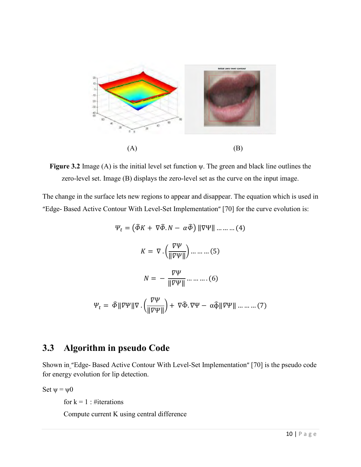

**Figure 3.2** Image (A) is the initial level set function ψ. The green and black line outlines the zero-level set. Image (B) displays the zero-level set as the curve on the input image.

The change in the surface lets new regions to appear and disappear. The equation which is used in "Edge- Based Active Contour With Level-Set Implementation" [70] for the curve evolution is:

$$
\Psi_t = \left(\hat{\Phi}K + \nabla\hat{\Phi}.\mathit{N} - \alpha\hat{\Phi}\right) \|\nabla\Psi\| \dots \dots \dots (4)
$$

$$
K = \nabla \cdot \left(\frac{\nabla\Psi}{\|\nabla\Psi\|}\right) \dots \dots \dots (5)
$$

$$
N = -\frac{\nabla\Psi}{\|\nabla\Psi\|} \dots \dots \dots (6)
$$

$$
\Psi_t = \hat{\Phi}\|\nabla\Psi\|\nabla \cdot \left(\frac{\nabla\Psi}{\|\nabla\Psi\|}\right) + \nabla\hat{\Phi}.\nabla\Psi - \alpha\hat{\Phi}\|\nabla\Psi\| \dots \dots \dots (7)
$$

### **3.3 Algorithm in pseudo Code**

Shown in "Edge- Based Active Contour With Level-Set Implementation" [70] is the pseudo code for energy evolution for lip detection.

Set  $\psi = \psi 0$ 

for  $k = 1$ : #iterations

Compute current K using central difference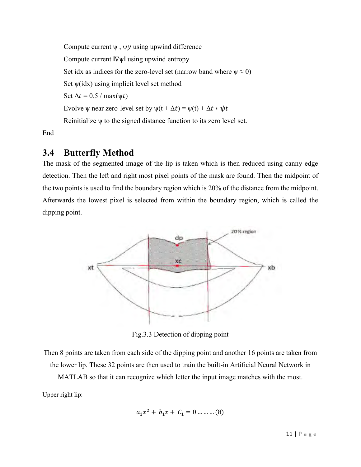Compute current  $\psi$ ,  $\psi y$  using upwind difference Compute current ‖∇ψ‖ using upwind entropy Set idx as indices for the zero-level set (narrow band where  $\psi \approx 0$ ) Set  $\psi$ (idx) using implicit level set method Set  $\Delta t = 0.5 / \max(\psi t)$ Evolve  $\psi$  near zero-level set by  $\psi(t + \Delta t) = \psi(t) + \Delta t * \psi t$ Reinitialize ψ to the signed distance function to its zero level set.

End

### **3.4 Butterfly Method**

The mask of the segmented image of the lip is taken which is then reduced using canny edge detection. Then the left and right most pixel points of the mask are found. Then the midpoint of the two points is used to find the boundary region which is 20% of the distance from the midpoint. Afterwards the lowest pixel is selected from within the boundary region, which is called the dipping point.



Fig.3.3 Detection of dipping point

Then 8 points are taken from each side of the dipping point and another 16 points are taken from the lower lip. These 32 points are then used to train the built-in Artificial Neural Network in MATLAB so that it can recognize which letter the input image matches with the most.

Upper right lip:

$$
a_1x^2 + b_1x + C_1 = 0 \dots \dots \dots (8)
$$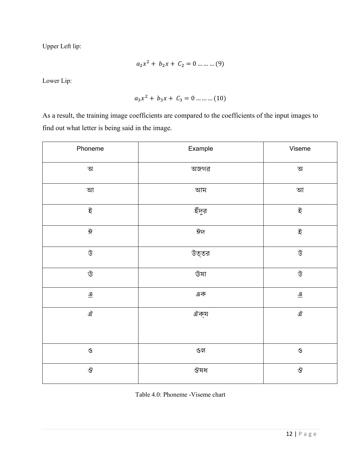Upper Left lip:

$$
a_2x^2 + b_2x + C_2 = 0 \dots \dots \dots (9)
$$

Lower Lip:

$$
a_3x^2 + b_3x + C_3 = 0 \dots \dots \dots (10)
$$

As a result, the training image coefficients are compared to the coefficients of the input images to find out what letter is being said in the image.

| Phoneme                  | Example | Viseme                   |
|--------------------------|---------|--------------------------|
| $\Delta$                 | অজগর    | অ                        |
| আ                        | আম      | আ                        |
| ই                        | ইঁদুর   | ই                        |
| $\frac{1}{\sqrt{6}}$     | ঈদ      | ই                        |
| উ                        | উত্তর   | উ                        |
| $\vec{\mathbb{U}}$       | উষা     | উ                        |
| $\underline{\mathbf{Q}}$ | এক      | $\underline{\mathbf{Q}}$ |
| ঐ                        | ঐক্য    | ঐ                        |
| $\mathbf{\Theta}$        | ওল      | $\mathbf{\hat{S}}$       |
| $\breve{\mathbf{S}}$     | ঔষধ     | ঔ                        |

Table 4.0: Phoneme -Viseme chart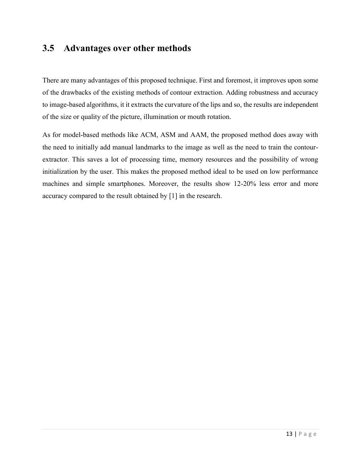#### **3.5 Advantages over other methods**

There are many advantages of this proposed technique. First and foremost, it improves upon some of the drawbacks of the existing methods of contour extraction. Adding robustness and accuracy to image-based algorithms, it it extracts the curvature of the lips and so, the results are independent of the size or quality of the picture, illumination or mouth rotation.

As for model-based methods like ACM, ASM and AAM, the proposed method does away with the need to initially add manual landmarks to the image as well as the need to train the contourextractor. This saves a lot of processing time, memory resources and the possibility of wrong initialization by the user. This makes the proposed method ideal to be used on low performance machines and simple smartphones. Moreover, the results show 12-20% less error and more accuracy compared to the result obtained by [1] in the research.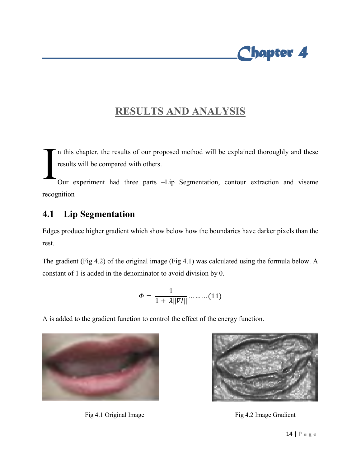

### **RESULTS AND ANALYSIS**

n this chapter, the results of our proposed method will be explained thoroughly and these results will be compared with others. I

Our experiment had three parts –Lip Segmentation, contour extraction and viseme recognition

#### **4.1 Lip Segmentation**

Edges produce higher gradient which show below how the boundaries have darker pixels than the rest.

The gradient (Fig 4.2) of the original image (Fig 4.1) was calculated using the formula below. A constant of 1 is added in the denominator to avoid division by 0.

$$
\varPhi = \frac{1}{1+\lambda\|\overline{v}I\|} \ldots \ldots \ldots (11)
$$

Λ is added to the gradient function to control the effect of the energy function.



Fig 4.1 Original Image **Fig 4.2 Image Gradient** 

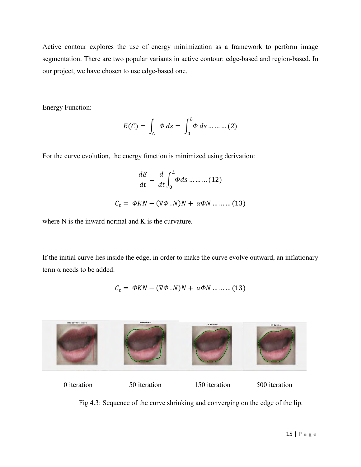Active contour explores the use of energy minimization as a framework to perform image segmentation. There are two popular variants in active contour: edge-based and region-based. In our project, we have chosen to use edge-based one.

Energy Function:

$$
E(C) = \int_C \Phi ds = \int_0^L \Phi ds \dots \dots \dots (2)
$$

For the curve evolution, the energy function is minimized using derivation:

$$
\frac{dE}{dt} = \frac{d}{dt} \int_0^L \Phi ds \dots \dots \dots (12)
$$

$$
C_t = \Phi KN - (\nabla \Phi \cdot N)N + \alpha \Phi N \dots \dots \dots (13)
$$

where N is the inward normal and K is the curvature.

If the initial curve lies inside the edge, in order to make the curve evolve outward, an inflationary term  $\alpha$  needs to be added.

$$
C_t = \Phi KN - (\nabla \Phi . N)N + \alpha \Phi N \dots \dots \dots (13)
$$



Fig 4.3: Sequence of the curve shrinking and converging on the edge of the lip.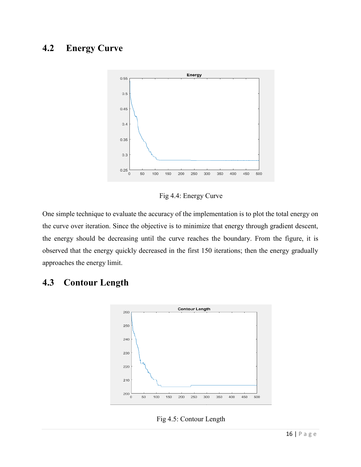### **4.2 Energy Curve**



Fig 4.4: Energy Curve

One simple technique to evaluate the accuracy of the implementation is to plot the total energy on the curve over iteration. Since the objective is to minimize that energy through gradient descent, the energy should be decreasing until the curve reaches the boundary. From the figure, it is observed that the energy quickly decreased in the first 150 iterations; then the energy gradually approaches the energy limit.

### **4.3 Contour Length**



Fig 4.5: Contour Length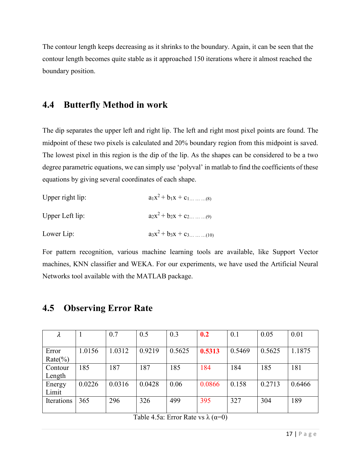The contour length keeps decreasing as it shrinks to the boundary. Again, it can be seen that the contour length becomes quite stable as it approached 150 iterations where it almost reached the boundary position.

#### **4.4 Butterfly Method in work**

The dip separates the upper left and right lip. The left and right most pixel points are found. The midpoint of these two pixels is calculated and 20% boundary region from this midpoint is saved. The lowest pixel in this region is the dip of the lip. As the shapes can be considered to be a two degree parametric equations, we can simply use 'polyval' in matlab to find the coefficients of these equations by giving several coordinates of each shape.

| Upper right lip: | $a_1x^2 + b_1x + c_1$ (8)  |
|------------------|----------------------------|
| Upper Left lip:  |                            |
| Lower Lip:       | $a_3x^2 + b_3x + c_3$ (10) |

For pattern recognition, various machine learning tools are available, like Support Vector machines, KNN classifier and WEKA. For our experiments, we have used the Artificial Neural Networks tool available with the MATLAB package.

| $\lambda$           | -1     | 0.7    | 0.5    | 0.3    | 0.2    | 0.1    | 0.05   | 0.01   |
|---------------------|--------|--------|--------|--------|--------|--------|--------|--------|
| Error<br>$Rate(\%)$ | 1.0156 | .0312  | 0.9219 | 0.5625 | 0.5313 | 0.5469 | 0.5625 | 1.1875 |
| Contour<br>Length   | 185    | 87     | 187    | 185    | 184    | 184    | 185    | 181    |
| Energy<br>Limit     | 0.0226 | 0.0316 | 0.0428 | 0.06   | 0.0866 | 0.158  | 0.2713 | 0.6466 |
| Iterations          | 365    | 296    | 326    | 499    | 395    | 327    | 304    | 189    |

#### **4.5 Observing Error Rate**

Table 4.5a: Error Rate vs  $\lambda (\alpha=0)$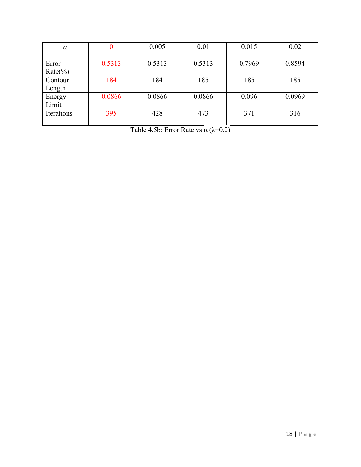| $\alpha$   | 0      | 0.005  | 0.01   | 0.015  | 0.02   |
|------------|--------|--------|--------|--------|--------|
|            |        |        |        |        |        |
| Error      | 0.5313 | 0.5313 | 0.5313 | 0.7969 | 0.8594 |
| $Rate(\%)$ |        |        |        |        |        |
| Contour    | 184    | 184    | 185    | 185    | 185    |
| Length     |        |        |        |        |        |
| Energy     | 0.0866 | 0.0866 | 0.0866 | 0.096  | 0.0969 |
| Limit      |        |        |        |        |        |
| Iterations | 395    | 428    | 473    | 371    | 316    |
|            |        |        |        |        |        |

Table 4.5b: Error Rate vs  $\alpha$  ( $\lambda$ =0.2)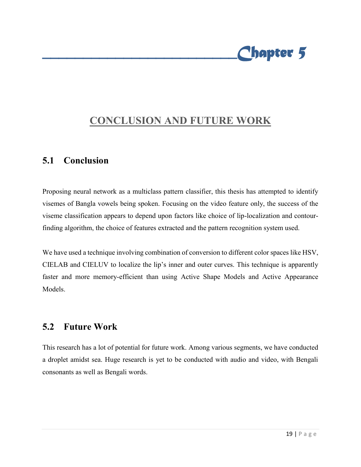

# **CONCLUSION AND FUTURE WORK**

#### **5.1 Conclusion**

Proposing neural network as a multiclass pattern classifier, this thesis has attempted to identify visemes of Bangla vowels being spoken. Focusing on the video feature only, the success of the viseme classification appears to depend upon factors like choice of lip-localization and contourfinding algorithm, the choice of features extracted and the pattern recognition system used.

We have used a technique involving combination of conversion to different color spaces like HSV, CIELAB and CIELUV to localize the lip's inner and outer curves. This technique is apparently faster and more memory-efficient than using Active Shape Models and Active Appearance Models.

#### **5.2 Future Work**

This research has a lot of potential for future work. Among various segments, we have conducted a droplet amidst sea. Huge research is yet to be conducted with audio and video, with Bengali consonants as well as Bengali words.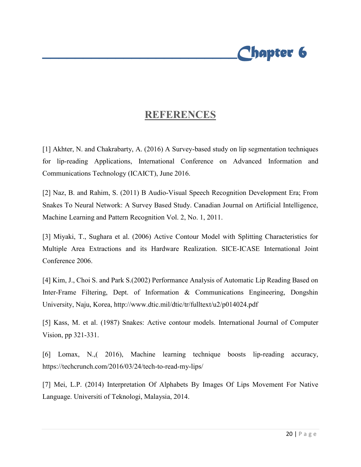

### **REFERENCES**

[1] Akhter, N. and Chakrabarty, A. (2016) A Survey-based study on lip segmentation techniques for lip-reading Applications, International Conference on Advanced Information and Communications Technology (ICAICT), June 2016.

[2] Naz, B. and Rahim, S. (2011) B Audio-Visual Speech Recognition Development Era; From Snakes To Neural Network: A Survey Based Study. Canadian Journal on Artificial Intelligence, Machine Learning and Pattern Recognition Vol. 2, No. 1, 2011.

[3] Miyaki, T., Sughara et al. (2006) Active Contour Model with Splitting Characteristics for Multiple Area Extractions and its Hardware Realization. SICE-ICASE International Joint Conference 2006.

[4] Kim, J., Choi S. and Park S.(2002) Performance Analysis of Automatic Lip Reading Based on Inter-Frame Filtering, Dept. of Information & Communications Engineering, Dongshin University, Naju, Korea,<http://www.dtic.mil/dtic/tr/fulltext/u2/p014024.pdf>

[5] Kass, M. et al. (1987) Snakes: Active contour models. International Journal of Computer Vision, pp 321-331.

[6] Lomax, N.,( 2016), Machine learning technique boosts lip-reading accuracy, <https://techcrunch.com/2016/03/24/tech-to-read-my-lips/>

[7] Mei, L.P. (2014) Interpretation Of Alphabets By Images Of Lips Movement For Native Language. Universiti of Teknologi, Malaysia, 2014.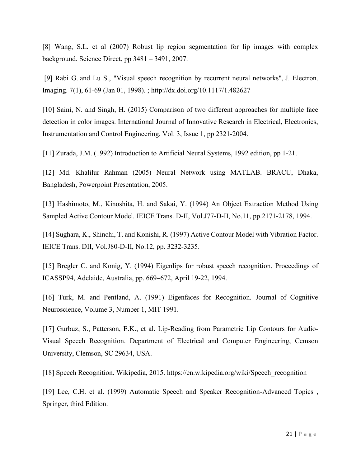[8] Wang, S.L. et al (2007) Robust lip region segmentation for lip images with complex background. Science Direct, pp 3481 – 3491, 2007.

[\[9\] Rabi](http://profiles.spiedigitallibrary.org/summary.aspx?DOI=10.1117%2f1.482627&Name=Gihad+Rabi) G. [and Lu](http://profiles.spiedigitallibrary.org/summary.aspx?DOI=10.1117%2f1.482627&Name=Si+Wei+Lu) S., "Visual speech recognition by recurrent neural networks", J. Electron. Imaging. 7(1), 61-69 (Jan 01, 1998). ;<http://dx.doi.org/10.1117/1.482627>

[10] Saini, N. and Singh, H. (2015) Comparison of two different approaches for multiple face detection in color images. International Journal of Innovative Research in Electrical, Electronics, Instrumentation and Control Engineering, Vol. 3, Issue 1, pp 2321-2004.

[11] Zurada, J.M. (1992) Introduction to Artificial Neural Systems, 1992 edition, pp 1-21.

[12] Md. Khalilur Rahman (2005) Neural Network using MATLAB. BRACU, Dhaka, Bangladesh, Powerpoint Presentation, 2005.

[13] Hashimoto, M., Kinoshita, H. and Sakai, Y. (1994) An Object Extraction Method Using Sampled Active Contour Model. IEICE Trans. D-II, Vol.J77-D-II, No.11, pp.2171-2178, 1994.

[14] Sughara, K., Shinchi, T. and Konishi, R. (1997) Active Contour Model with Vibration Factor. IEICE Trans. DII, Vol.J80-D-II, No.12, pp. 3232-3235.

[15] Bregler C. and Konig, Y. (1994) Eigenlips for robust speech recognition. Proceedings of ICASSP94, Adelaide, Australia, pp. 669–672, April 19-22, 1994.

[16] Turk, M. and Pentland, A. (1991) Eigenfaces for Recognition. Journal of Cognitive Neuroscience, Volume 3, Number 1, MIT 1991.

[17] Gurbuz, S., Patterson, E.K., et al. Lip-Reading from Parametric Lip Contours for Audio-Visual Speech Recognition. Department of Electrical and Computer Engineering, Cemson University, Clemson, SC 29634, USA.

[18] Speech Recognition. Wikipedia, 2015. https://en.wikipedia.org/wiki/Speech\_recognition

[19] Lee, C.H. et al. (1999) Automatic Speech and Speaker Recognition-Advanced Topics , Springer, third Edition.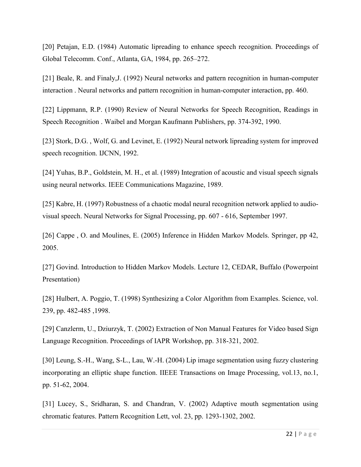[20] Petajan, E.D. (1984) Automatic lipreading to enhance speech recognition. Proceedings of Global Telecomm. Conf., Atlanta, GA, 1984, pp. 265–272.

[21] Beale, R. and Finaly,J. (1992) Neural networks and pattern recognition in human-computer interaction . Neural networks and pattern recognition in human-computer interaction, pp. 460.

[22] Lippmann, R.P. (1990) Review of Neural Networks for Speech Recognition, Readings in Speech Recognition . Waibel and Morgan Kaufmann Publishers, pp. 374-392, 1990.

[23] Stork, D.G., Wolf, G. and Levinet, E. (1992) Neural network lipreading system for improved speech recognition. IJCNN, 1992.

[24] Yuhas, B.P., Goldstein, M. H., et al. (1989) Integration of acoustic and visual speech signals using neural networks. IEEE Communications Magazine, 1989.

[25] Kabre, H. (1997) Robustness of a chaotic modal neural recognition network applied to audiovisual speech. Neural Networks for Signal Processing, pp. 607 - 616, September 1997.

[26] Cappe, O. and Moulines, E. (2005) Inference in Hidden Markov Models. Springer, pp 42, 2005.

[27] Govind. Introduction to Hidden Markov Models. Lecture 12, CEDAR, Buffalo (Powerpoint Presentation)

[28] Hulbert, A. Poggio, T. (1998) Synthesizing a Color Algorithm from Examples. Science, vol. 239, pp. 482-485 ,1998.

[29] Canzlerm, U., Dziurzyk, T. (2002) Extraction of Non Manual Features for Video based Sign Language Recognition. Proceedings of IAPR Workshop, pp. 318-321, 2002.

[30] Leung, S.-H., Wang, S-L., Lau, W.-H. (2004) Lip image segmentation using fuzzy clustering incorporating an elliptic shape function. IIEEE Transactions on Image Processing, vol.13, no.1, pp. 51-62, 2004.

[31] Lucey, S., Sridharan, S. and Chandran, V. (2002) Adaptive mouth segmentation using chromatic features. Pattern Recognition Lett, vol. 23, pp. 1293-1302, 2002.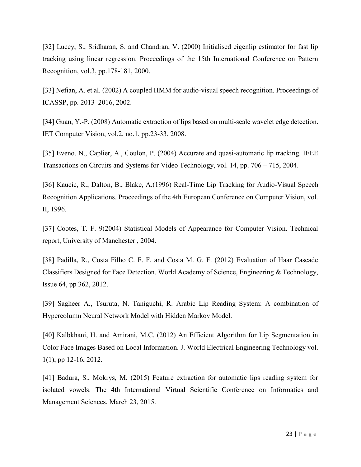[32] Lucey, S., Sridharan, S. and Chandran, V. (2000) Initialised eigenlip estimator for fast lip tracking using linear regression. Proceedings of the 15th International Conference on Pattern Recognition, vol.3, pp.178-181, 2000.

[33] Nefian, A. et al. (2002) A coupled HMM for audio-visual speech recognition. Proceedings of ICASSP, pp. 2013–2016, 2002.

[34] Guan, Y.-P. (2008) Automatic extraction of lips based on multi-scale wavelet edge detection. IET Computer Vision, vol.2, no.1, pp.23-33, 2008.

[35] Eveno, N., Caplier, A., Coulon, P. (2004) Accurate and quasi-automatic lip tracking. IEEE Transactions on Circuits and Systems for Video Technology, vol. 14, pp. 706 – 715, 2004.

[36] Kaucic, R., Dalton, B., Blake, A.(1996) Real-Time Lip Tracking for Audio-Visual Speech Recognition Applications. Proceedings of the 4th European Conference on Computer Vision, vol. II, 1996.

[37] Cootes, T. F. 9(2004) Statistical Models of Appearance for Computer Vision. Technical report, University of Manchester , 2004.

[38] Padilla, R., Costa Filho C. F. F. and Costa M. G. F. (2012) Evaluation of Haar Cascade Classifiers Designed for Face Detection. World Academy of Science, Engineering & Technology, Issue 64, pp 362, 2012.

[39] Sagheer A., Tsuruta, N. Taniguchi, R. Arabic Lip Reading System: A combination of Hypercolumn Neural Network Model with Hidden Markov Model.

[40] Kalbkhani, H. and Amirani, M.C. (2012) An Efficient Algorithm for Lip Segmentation in Color Face Images Based on Local Information. J. World Electrical Engineering Technology vol. 1(1), pp 12-16, 2012.

[41] Badura, S., Mokrys, M. (2015) Feature extraction for automatic lips reading system for isolated vowels. The 4th International Virtual Scientific Conference on Informatics and Management Sciences, March 23, 2015.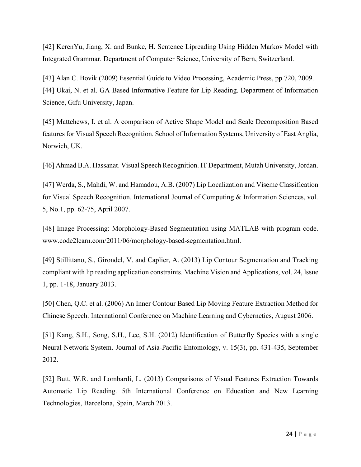[42] KerenYu, Jiang, X. and Bunke, H. Sentence Lipreading Using Hidden Markov Model with Integrated Grammar. Department of Computer Science, University of Bern, Switzerland.

[43] Alan C. Bovik (2009) Essential Guide to Video Processing, Academic Press, pp 720, 2009. [44] Ukai, N. et al. GA Based Informative Feature for Lip Reading. Department of Information Science, Gifu University, Japan.

[45] Mattehews, I. et al. A comparison of Active Shape Model and Scale Decomposition Based features for Visual Speech Recognition. School of Information Systems, University of East Anglia, Norwich, UK.

[46] Ahmad B.A. Hassanat. Visual Speech Recognition. IT Department, Mutah University, Jordan.

[47] Werda, S., Mahdi, W. and Hamadou, A.B. (2007) Lip Localization and Viseme Classification for Visual Speech Recognition. International Journal of Computing & Information Sciences, vol. 5, No.1, pp. 62-75, April 2007.

[48] Image Processing: Morphology-Based Segmentation using MATLAB with program code. www.code2learn.com/2011/06/morphology-based-segmentation.html.

[49] Stillittano, S., Girondel, V. and Caplier, A. (2013) Lip Contour Segmentation and Tracking compliant with lip reading application constraints. Machine Vision and Applications, vol. 24, Issue 1, pp. 1-18, January 2013.

[50] Chen, Q.C. et al. (2006) An Inner Contour Based Lip Moving Feature Extraction Method for Chinese Speech. International Conference on Machine Learning and Cybernetics, August 2006.

[51] Kang, S.H., Song, S.H., Lee, S.H. (2012) Identification of Butterfly Species with a single Neural Network System. Journal of Asia-Pacific Entomology, v. 15(3), pp. 431-435, September 2012.

[52] Butt, W.R. and Lombardi, L. (2013) Comparisons of Visual Features Extraction Towards Automatic Lip Reading. 5th International Conference on Education and New Learning Technologies, Barcelona, Spain, March 2013.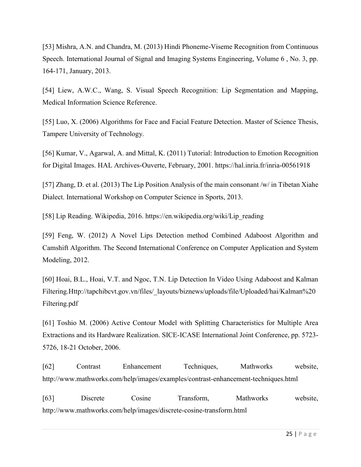[53] Mishra, A.N. and Chandra, M. (2013) Hindi Phoneme-Viseme Recognition from Continuous Speech. International Journal of Signal and Imaging Systems Engineering, Volume 6 , No. 3, pp. 164-171, January, 2013.

[54] Liew, A.W.C., Wang, S. Visual Speech Recognition: Lip Segmentation and Mapping, Medical Information Science Reference.

[55] Luo, X. (2006) Algorithms for Face and Facial Feature Detection. Master of Science Thesis, Tampere University of Technology.

[56] Kumar, V., Agarwal, A. and Mittal, K. (2011) Tutorial: Introduction to Emotion Recognition for Digital Images. HAL Archives-Ouverte, February, 2001. https://hal.inria.fr/inria-00561918

[57] Zhang, D. et al. (2013) The Lip Position Analysis of the main consonant /w/ in Tibetan Xiahe Dialect. International Workshop on Computer Science in Sports, 2013.

[58] Lip Reading. Wikipedia, 2016. https://en.wikipedia.org/wiki/Lip\_reading

[59] Feng, W. (2012) A Novel Lips Detection method Combined Adaboost Algorithm and Camshift Algorithm. The Second International Conference on Computer Application and System Modeling, 2012.

[60] Hoai, B.L., Hoai, V.T. and Ngoc, T.N. Lip Detection In Video Using Adaboost and Kalman Filtering.Http://tapchibcvt.gov.vn/files/\_layouts/biznews/uploads/file/Uploaded/hai/Kalman%20 Filtering.pdf

[61] Toshio M. (2006) Active Contour Model with Splitting Characteristics for Multiple Area Extractions and its Hardware Realization. SICE-ICASE International Joint Conference, pp. 5723- 5726, 18-21 October, 2006.

[62] Contrast Enhancement Techniques, Mathworks website, http://www.mathworks.com/help/images/examples/contrast-enhancement-techniques.html

[63] Discrete Cosine Transform, Mathworks website, http://www.mathworks.com/help/images/discrete-cosine-transform.html